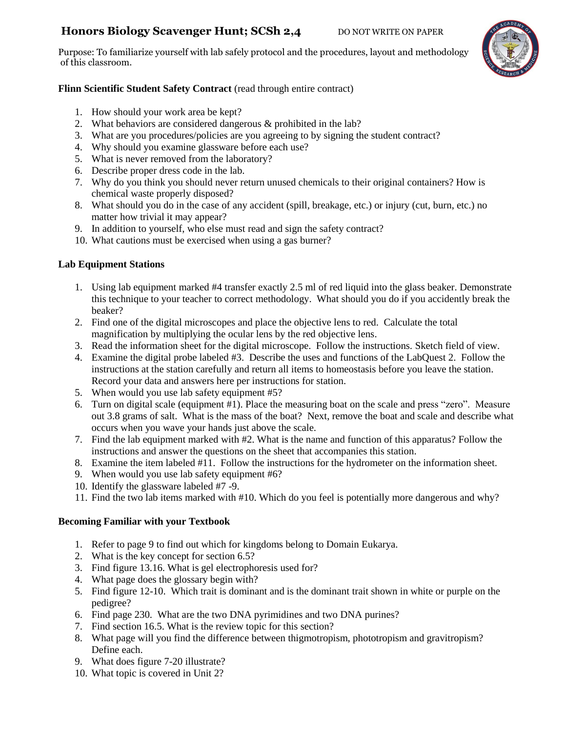# **Honors Biology Scavenger Hunt; SCSh 2,4** DO NOT WRITE ON PAPER

Purpose: To familiarize yourself with lab safely protocol and the procedures, layout and methodology of this classroom.



# **Flinn Scientific Student Safety Contract** (read through entire contract)

- 1. How should your work area be kept?
- 2. What behaviors are considered dangerous & prohibited in the lab?
- 3. What are you procedures/policies are you agreeing to by signing the student contract?
- 4. Why should you examine glassware before each use?
- 5. What is never removed from the laboratory?
- 6. Describe proper dress code in the lab.
- 7. Why do you think you should never return unused chemicals to their original containers? How is chemical waste properly disposed?
- 8. What should you do in the case of any accident (spill, breakage, etc.) or injury (cut, burn, etc.) no matter how trivial it may appear?
- 9. In addition to yourself, who else must read and sign the safety contract?
- 10. What cautions must be exercised when using a gas burner?

## **Lab Equipment Stations**

- 1. Using lab equipment marked #4 transfer exactly 2.5 ml of red liquid into the glass beaker. Demonstrate this technique to your teacher to correct methodology. What should you do if you accidently break the beaker?
- 2. Find one of the digital microscopes and place the objective lens to red. Calculate the total magnification by multiplying the ocular lens by the red objective lens.
- 3. Read the information sheet for the digital microscope. Follow the instructions. Sketch field of view.
- 4. Examine the digital probe labeled #3. Describe the uses and functions of the LabQuest 2. Follow the instructions at the station carefully and return all items to homeostasis before you leave the station. Record your data and answers here per instructions for station.
- 5. When would you use lab safety equipment #5?
- 6. Turn on digital scale (equipment #1). Place the measuring boat on the scale and press "zero". Measure out 3.8 grams of salt. What is the mass of the boat? Next, remove the boat and scale and describe what occurs when you wave your hands just above the scale.
- 7. Find the lab equipment marked with #2. What is the name and function of this apparatus? Follow the instructions and answer the questions on the sheet that accompanies this station.
- 8. Examine the item labeled #11. Follow the instructions for the hydrometer on the information sheet.
- 9. When would you use lab safety equipment #6?
- 10. Identify the glassware labeled #7 -9.
- 11. Find the two lab items marked with #10. Which do you feel is potentially more dangerous and why?

## **Becoming Familiar with your Textbook**

- 1. Refer to page 9 to find out which for kingdoms belong to Domain Eukarya.
- 2. What is the key concept for section 6.5?
- 3. Find figure 13.16. What is gel electrophoresis used for?
- 4. What page does the glossary begin with?
- 5. Find figure 12-10. Which trait is dominant and is the dominant trait shown in white or purple on the pedigree?
- 6. Find page 230. What are the two DNA pyrimidines and two DNA purines?
- 7. Find section 16.5. What is the review topic for this section?
- 8. What page will you find the difference between thigmotropism, phototropism and gravitropism? Define each.
- 9. What does figure 7-20 illustrate?
- 10. What topic is covered in Unit 2?